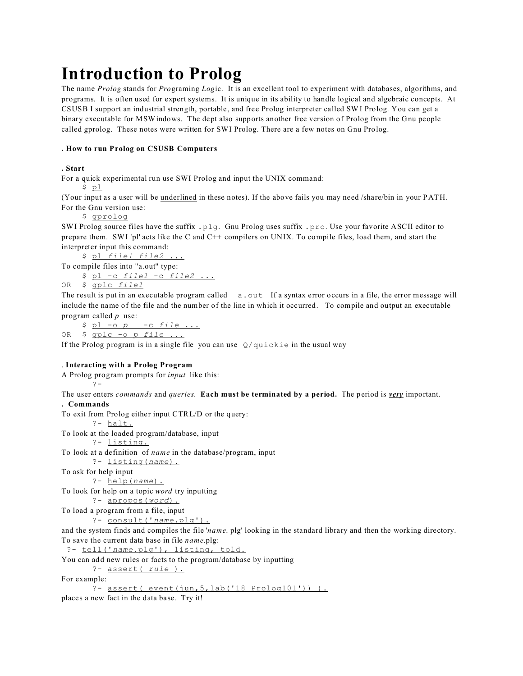# **Introduction to Prolog**

The name *Prolog* stands for *Pro*graming *Log*ic. It is an excellent tool to experiment with databases, algorithms, and programs. It is often used for expert systems. It is unique in its ability to handle logical and algebraic concepts. At CSUSB I support an industrial strength, portable, and free Prolog interpreter called SW I Prolog. You can get a binary executable for MSWindows. The dept also supports another free version of Prolog from the Gnu people called gprolog. These notes were written for SWI Prolog. There are a few notes on Gnu Prolog.

## **. How to run Prolog on CSUSB Computers**

## **. Start**

For a quick experimental run use SWI Prolog and input the UNIX command:

\$ pl

(Your input as a user will be underlined in these notes). If the above fails you may need /share/bin in your PATH. For the Gnu version use:

\$ gprolog

SWI Prolog source files have the suffix .plg. Gnu Prolog uses suffix .pro. Use your favorite ASCII editor to prepare them. SWI 'pl' acts like the C and C++ compilers on UNIX. To compile files, load them, and start the interpreter input this command:

 \$ pl *file1 file2* ... To compile files into "a.out" type:

\$ pl -c *file1* -c *file2* ...

OR \$ gplc *file1*

?-

The result is put in an executable program called  $a.out$  If a syntax error occurs in a file, the error message will include the name of the file and the number of the line in which it occurred. To compile and output an executable program called *p* use:

 \$ pl -o *p* -c *file* ... OR \$ gplc -o *p file* ...

If the Prolog program is in a single file you can use  $Q$ /quickie in the usual way

## . **Interacting with a Prolog Program**

A Prolog program prompts for *input* like this:

The user enters *commands* and *queries*. **Each must be terminated by a period.** The period is *very* important. **. Commands**

```
To exit from Prolog either input CTRL/D or the query:
        ?- halt.
To look at the loaded program/database, input
        ?- listing.
To look at a definition of name in the database/program, input
        ?- listing(name).
To ask for help input
        ?- help(name).
To look for help on a topic word try inputting
        ?- apropos(word).
To load a program from a file, input
        ?- consult('name.plg').
and the system finds and compiles the file 'name. plg' looking in the standard library and then the working directory.
To save the current data base in file name.plg:
  ?- tell('name.plg'), listing, told.
You can add new rules or facts to the program/database by inputting
        ?- assert( rule ).
For example:
        ?- assert( event(jun,5,lab('18 Prolog101')) ).
```
places a new fact in the data base. Try it!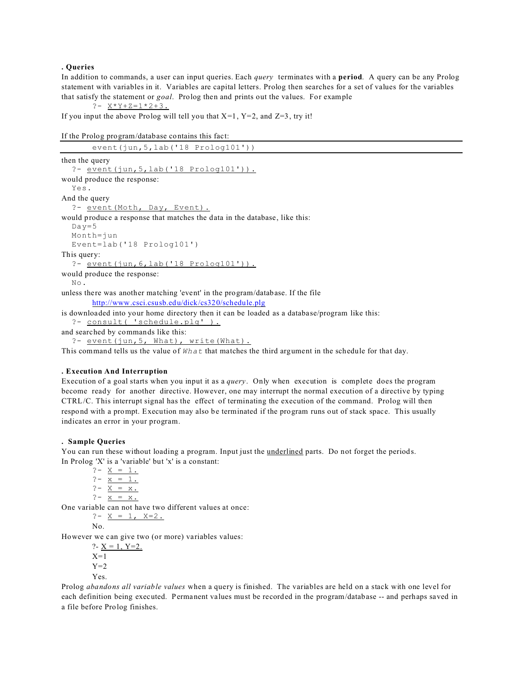#### **. Queries**

In addition to commands, a user can input queries. Each *query* terminates with a **period**. A query can be any Prolog statement with variables in it. Variables are capital letters. Prolog then searches for a set of values for the variables that satisfy the statement or *goal*. Prolog then and prints out the values. For example

?-  $X*Y+Z=1*2+3$ .

If you input the above Prolog will tell you that  $X=1$ ,  $Y=2$ , and  $Z=3$ , try it!

```
If the Prolog program/database contains this fact:
```

| event(iun, 5, lab('18 Prolog101'))                                                            |
|-----------------------------------------------------------------------------------------------|
| then the query                                                                                |
| ?- $event(jun, 5, lab('18 Prolog101'))$ .                                                     |
| would produce the response:                                                                   |
| Yes.                                                                                          |
| And the query                                                                                 |
| ?- event (Moth, Day, Event).                                                                  |
| would produce a response that matches the data in the database, like this:                    |
| $Day = 5$                                                                                     |
| $Month = \ni un$                                                                              |
| Event=lab( $'18$ Prolog101')                                                                  |
| This query:                                                                                   |
| ?- $event(jun, 6, lab('18 Prolog101'))$ .                                                     |
| would produce the response:                                                                   |
| No.                                                                                           |
| unless there was another matching 'event' in the program/database. If the file                |
| http://www.csci.csusb.edu/dick/cs320/schedule.plg                                             |
| is downloaded into your home directory then it can be loaded as a database/program like this: |
| ?- consult ( 'schedule.plg' ).                                                                |

and searched by commands like this:

```
?- event(jun, 5, What), write(What).
```
This command tells us the value of *What* that matches the third argument in the schedule for that day.

## **. Execution And Interruption**

Execution of a goal starts when you input it as a *query*. Only when execution is complete does the program become ready for another directive. However, one may interrupt the normal execution of a directive by typing CTRL/C. This interrupt signal has the effect of terminating the execution of the command. Prolog will then respond with a prompt. Execution may also be terminated if the program runs out of stack space. This usually indicates an error in your program.

## **. Sample Queries**

You can run these without loading a program. Input just the *underlined* parts. Do not forget the periods. In Prolog 'X' is a 'variable' but 'x' is a constant:

?-  $X = 1$ .  $? - \overline{x} = 1$ .  $? - \overline{X} = x$ .  $? - x = x.$ 

One variable can not have two different values at once:

?-  $X = 1$ ,  $X=2$ .  $N<sub>0</sub>$ 

However we can give two (or more) variables values:

?-  $X = 1$ ,  $Y=2$ .  $X=1$  $Y=2$ Yes.

Prolog *abandons all variable values* when a query is finished. The variables are held on a stack with one level for each definition being executed. Permanent values must be recorded in the program/database -- and perhaps saved in a file before Prolog finishes.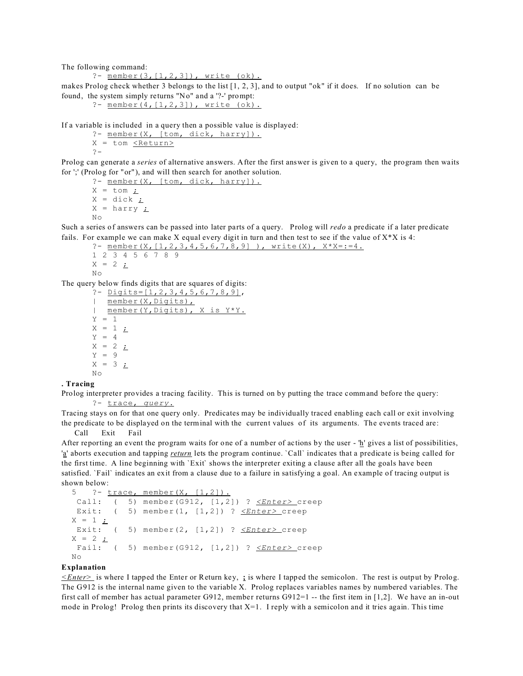The following command:

?- member(3,[1,2,3]), write (ok).

makes Prolog check whether 3 belongs to the list [1, 2, 3], and to output "ok" if it does. If no solution can be found, the system simply returns "No" and a '?-' prompt:

```
?- member(4,[1,2,3]), write (ok).
```
If a variable is included in a query then a possible value is displayed:

?- member(X, [tom, dick, harry]).  $X = tom \leq Return$ ?-

Prolog can generate a *series* of alternative answers. After the first answer is given to a query, the program then waits for ';' (Prolog for "or"), and will then search for another solution.

?- member(X, [tom, dick, harry]).  $X = tom \underline{?}$  $X = \text{dict}$ ;  $X = harry$   $\angle$  $N<sub>O</sub>$ 

Such a series of answers can be passed into later parts of a query. Prolog will *redo* a predicate if a later predicate fails. For example we can make X equal every digit in turn and then test to see if the value of  $X^*X$  is 4:

```
?- member(X, [1, 2, 3, 4, 5, 6, 7, 8, 9]), write(X), X^*X = := 4.
```

```
1 2 3 4 5 6 7 8 9
X = 2;
No
```
The query below finds digits that are squares of digits:

```
? - Digits = [1, 2, 3, 4, 5, 6, 7, 8, 9],
| member(X, Digits),
| member(Y,Digits), X is Y*Y.
Y = 1X = 1 <u>;</u>
Y = 4X = 2 ;
Y = 9X = 3 ;
N<sub>O</sub>
```
## **. Tracing**

Prolog interpreter provides a tracing facility. This is turned on by putting the trace command before the query: ?- trace, *query*.

Tracing stays on for that one query only. Predicates may be individually traced enabling each call or exit involving the predicate to be displayed on the terminal with the current values of its arguments. The events traced are: Call Exit Fail

After reporting an event the program waits for one of a number of actions by the user - 'h' gives a list of possibilities, 'a' aborts execution and tapping *return* lets the program continue. `Call` indicates that a predicate is being called for the first time. A line beginning with `Exit` shows the interpreter exiting a clause after all the goals have been satisfied. `Fail` indicates an exit from a clause due to a failure in satisfying a goal. An example of tracing output is shown below:

```
 5 ?- trace, member(X, [1,2]).
  Call: ( 5) member(G912, [1,2]) ? <Enter> creep
 Exit: ( 5) member(1, [1,2]) ? <u><Enter></u> creep
X = 1 ;
 Exit: ( 5) member(2, [1,2]) ? <Enter> creep
X = 2 ;
  Fail: ( 5) member(G912, [1,2]) ? <Enter> creep
 No
```
## **Explanation**

*<Enter>* is where I tapped the Enter or Return key, **;** is where I tapped the semicolon. The rest is output by Prolog. The G912 is the internal name given to the variable X. Prolog replaces variables names by numbered variables. The first call of member has actual parameter G912, member returns G912=1 -- the first item in [1,2]. We have an in-out mode in Prolog! Prolog then prints its discovery that  $X=1$ . I reply with a semicolon and it tries again. This time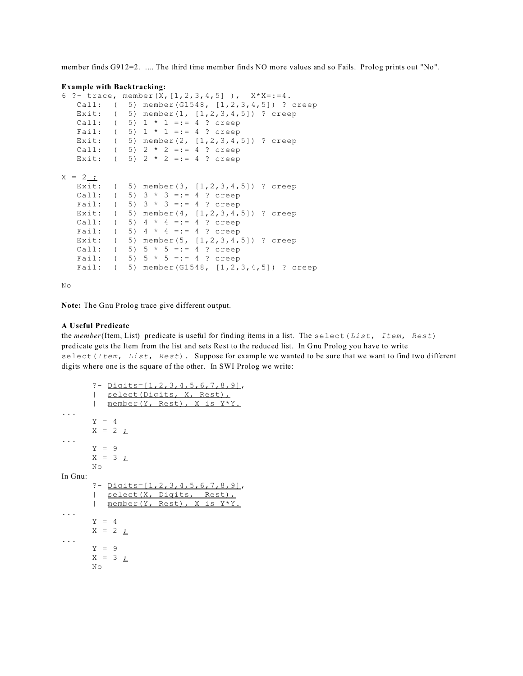member finds G912=2. .... The third time member finds NO more values and so Fails. Prolog prints out "No".

#### **Example with Backtracking:**

```
6 ?- trace, member(X, [1, 2, 3, 4, 5]), X^*X = := 4.
   Call: ( 5) member(G1548, [1,2,3,4,5]) ? creep
  Exit: (5) member(1, [1, 2, 3, 4, 5]) ? creep
  Call: (5) 1 * 1 =:= 4 ? creep
  Fail: (5) 1 * 1 =:= 4 ? creep
   Exit: ( 5) member(2, [1,2,3,4,5]) ? creep
  Call: ( 5) 2 * 2 =:= 4 ? creep
  Exit: (5) 2 * 2 =:= 4 ? creep
X = 2 ;
   Exit: ( 5) member(3, [1,2,3,4,5]) ? creep
  Call: (5) 3 * 3 == 4 ? creep
  Fail: (5) 3 * 3 =:= 4 ? creep
   Exit: ( 5) member(4, [1,2,3,4,5]) ? creep
  Call: (5) 4 * 4 == 4 ? creep
  Fail: (5) 4 * 4 == 4 ? creep
  Exit: ( 5) member(5, [1,2,3,4,5]) ? creep
  Call: (5) 5 * 5 =:= 4 ? creep
  Fail: (5) 5 * 5 =:= 4 ? creep
   Fail: ( 5) member(G1548, [1,2,3,4,5]) ? creep
```
No

**Note:** The Gnu Prolog trace give different output.

#### **A Useful Predicate**

the *member*(Item, List) predicate is useful for finding items in a list. The select(*List*, *Item*, *Rest*) predicate gets the Item from the list and sets Rest to the reduced list. In Gnu Prolog you have to write select(*Item*, *List*, *Rest*). Suppose for example we wanted to be sure that we want to find two different digits where one is the square of the other. In SWI Prolog we write:

```
?- Digits=[1,2,3,4,5,6,7,8,9],
      | select(Digits, X, Rest),
      | member(Y, Rest), X is Y*Y.
...
      Y = 4X = 2 ;
...
      Y = 9X = 3 ;
      No
In Gnu:
      ?- Digits=[1,2,3,4,5,6,7,8,9],
      | select(X, Digits, Rest),
      | member(Y, Rest), X is Y*Y.
...
      Y = 4X = 2 ;
...
      Y = 9X = 3 <u>;</u>
      No
```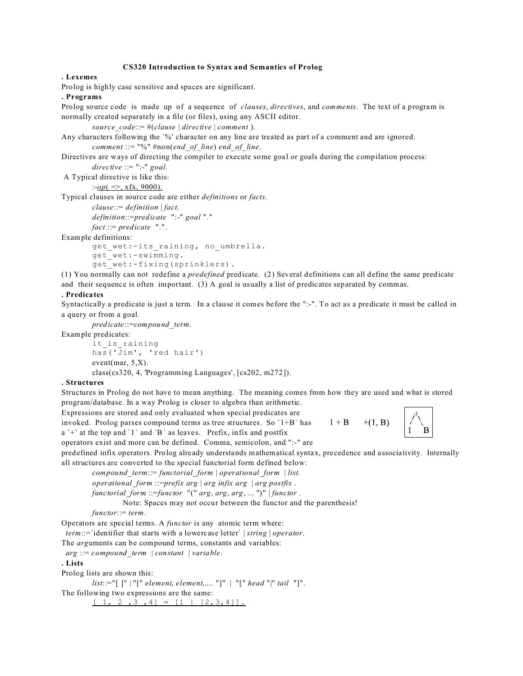#### **CS320 Introduction to Syntax and Semantics of Prolog**

#### **. Lexemes**

Prolog is highly case sensitive and spaces are significant.

## **. Programs**

Prolog source code is made up of a sequence of *clauses*, *directives*, and *comments*. The text of a program is normally created separately in a file (or files), using any ASCII editor.

```
source_code::= #(clause | directive | comment ).
```
Any characters following the `%' character on any line are treated as part of a comment and are ignored. *comment* ::= "%" #non(*end\_of\_line*) *end\_of\_line*.

Directives are ways of directing the compiler to execute some goal or goals during the compilation process:

*directive* ::= ":-" *goal*.

A Typical directive is like this:

:-*op*( =>, xfx, 9000).

Typical clauses in source code are either *definitions* or *facts.*

*clause*::= *definition* | *fact*. *definition*::=*predicate* ":-" *goal* "."

*fact* ::= *predicate* ".".

Example definitions:

```
get wet:-its raining, no_umbrella.
get_wet:-swimming.
```

```
get wet:-fixing(sprinklers).
```
(1) You normally can not redefine a *predefined* predicate. (2) Several definitions can all define the same predicate and their sequence is often important. (3) A goal is usually a list of predicates separated by commas.

## **. Predicates**

Syntactically a predicate is just a term*.* In a clause it comes before the ":-". To act as a predicate it must be called in a query or from a goal*.*

*predicate*::=*compound\_term*.

Example predicates: it is raining

```
has('Jim', 'red hair')
event(mar, 5,X).
class(cs320, 4, 'Programming Languages', [cs202, m272]).
```
#### **. Structures**

Structures in Prolog do not have to mean anything. The meaning comes from how they are used and what is stored program/database. In a way Prolog is closer to algebra than arithmetic.

Expressions are stored and only evaluated when special predicates are

invoked. Prolog parses compound terms as tree structures. So `1+B` has  $a'$  at the top and '1' and 'B' as leaves. Prefix, in fix and postfix operators exist and more can be defined. Comma, semicolon, and ":-" are

 $1 + B$ 

 $+(1, B)$ 

predefined infix operators. Prolog already understands mathematical syntax, precedence and associativity. Internally all structures are converted to the special functorial form defined below:

*compound\_term*::= *functorial\_form* | *operational\_form* | *list*. *operational\_form* ::=*prefix arg* | *arg infix arg* | *arg postfix* .

*functorial\_form* ::=*functor* "(" *arg*, *arg*, *arg*, ... ")" | *functor* .

Note: Spaces may not occur between the functor and the parenthesis!

*functor*::= *term*.

Operators are special terms. A *functor* is any atomic term where:

*term*::=`identifier that starts with a lowercase letter` | *string* | *operator*.

The *arg*uments can be compound terms, constants and variables:

*arg* ::= *compound\_term* | *constant* | *variable*.

### **. Lists**

Prolog lists are shown this:

*list*::="[ ]" | "[" *element*, *element*,.... "]" | "[" *head* "|" *tail* "]".

The following two expressions are the same:

 $[ 1, 2, 3, 4] = [1 | [2, 3, 4]].$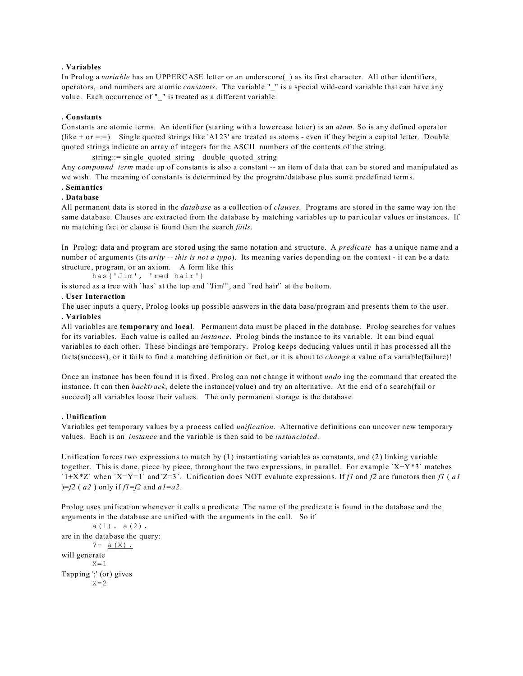## **. Variables**

In Prolog a *variable* has an UPPERCASE letter or an underscore() as its first character. All other identifiers, operators, and numbers are atomic *constants*. The variable "\_" is a special wild-card variable that can have any value. Each occurrence of " " is treated as a different variable.

## **. Constants**

Constants are atomic terms. An identifier (starting with a lowercase letter) is an *atom*. So is any defined operator (like + or =:=). Single quoted strings like 'A123' are treated as atoms - even if they begin a capital letter. Double quoted strings indicate an array of integers for the ASCII numbers of the contents of the string.

string::= single quoted string | double quoted string

Any *compound term* made up of constants is also a constant -- an item of data that can be stored and manipulated as we wish. The meaning of constants is determined by the program/database plus some predefined terms.

## **. Semantics**

## **. Database**

All permanent data is stored in the *database* as a collection of *clauses*. Programs are stored in the same way ion the same database. Clauses are extracted from the database by matching variables up to particular values or instances. If no matching fact or clause is found then the search *fails*.

In Prolog: data and program are stored using the same notation and structure. A *predicate* has a unique name and a number of arguments (its *arity -- this is not a typo*). Its meaning varies depending on the context - it can be a data structure, program, or an axiom. A form like this

has('Jim', 'red hair')

is stored as a tree with `has` at the top and `'Jim''`, and `'red hair'` at the bottom.

## . **User Interaction**

The user inputs a query, Prolog looks up possible answers in the data base/program and presents them to the user. **. Variables**

All variables are **temporary** and **local**. Permanent data must be placed in the database. Prolog searches for values for its variables. Each value is called an *instance*. Prolog binds the instance to its variable. It can bind equal variables to each other. These bindings are temporary. Prolog keeps deducing values until it has processed all the facts(success), or it fails to find a matching definition or fact, or it is about to *change* a value of a variable(failure)!

Once an instance has been found it is fixed. Prolog can not change it without *undo* ing the command that created the instance. It can then *backtrack*, delete the instance(value) and try an alternative. At the end of a search(fail or succeed) all variables loose their values. The only permanent storage is the database.

## **. Unification**

Variables get temporary values by a process called *unification*. Alternative definitions can uncover new temporary values. Each is an *instance* and the variable is then said to be *instanciated*.

Unification forces two expressions to match by (1) instantiating variables as constants, and (2) linking variable together. This is done, piece by piece, throughout the two expressions, in parallel. For example `X+Y\*3` matches `1+X\*Z` when `X=Y=1` and`Z=3`. Unification does NOT evaluate expressions. If *f1* and *f2* are functors then *f1* (*a1* )=*f2* ( *a2* ) only if *f1*=*f2* and *a1*=*a2*.

Prolog uses unification whenever it calls a predicate. The name of the predicate is found in the database and the arguments in the database are unified with the arguments in the call. So if

```
a(1). a(2).
are in the database the query:
        ? - a(X).
will generate
        X=1Tapping ';' (or) gives
        X=2
```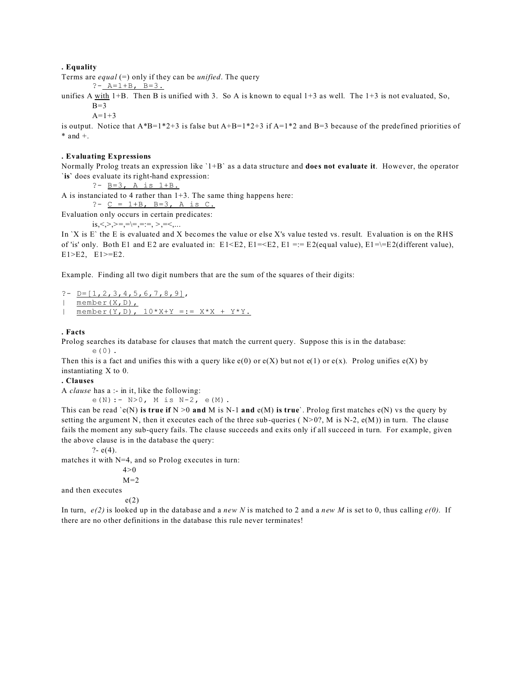#### **. Equality**

Terms are *equal* (=) only if they can be *unified*. The query

 $? - A = 1 + B$ ,  $B = 3$ .

unifies A with  $1+B$ . Then B is unified with 3. So A is known to equal  $1+3$  as well. The  $1+3$  is not evaluated, So,  $B=3$ 

 $A = 1 + 3$ 

is output. Notice that  $A*B=1*2+3$  is false but  $A+B=1*2+3$  if  $A=1*2$  and  $B=3$  because of the predefined priorities of  $*$  and  $+$ .

## **. Evaluating Expressions**

Normally Prolog treats an expression like `1+B` as a data structure and **does not evaluate it**. However, the operator `**is`** does evaluate its right-hand expression:

?-  $B=3$ , A is  $1+B$ .

A is instanciated to 4 rather than 1+3. The same thing happens here:

?-  $C = 1+B$ ,  $B=3$ , A is C.

Evaluation only occurs in certain predicates:

is,<,>,>=,=\=,=:=, >,=<,...

In 'X is E' the E is evaluated and X becomes the value or else X's value tested vs. result. Evaluation is on the RHS of 'is' only. Both E1 and E2 are evaluated in:  $E1 \le E2$ ,  $E1 \le E2$ ,  $E1 \le E2$  (equal value),  $E1 \le E2$ (different value), E1>E2, E1>=E2.

Example. Finding all two digit numbers that are the sum of the squares of their digits:

?-  $D=[1, 2, 3, 4, 5, 6, 7, 8, 9]$ ,  $\overline{\mathsf{m}}$  member $(X, D)$ , | member(Y,D),  $10*X+Y == X*X + Y*Y$ .

#### **. Facts**

Prolog searches its database for clauses that match the current query. Suppose this is in the database: e(0).

Then this is a fact and unifies this with a query like  $e(0)$  or  $e(X)$  but not  $e(1)$  or  $e(x)$ . Prolog unifies  $e(X)$  by instantiating X to 0.

**. Clauses**

A *clause* has a :- in it, like the following:

e(N):- N>0, M is N-2, e(M).

This can be read `e(N) **is true if**  $N > 0$  **and** M is N-1 **and** e(M) **is true**`. Prolog first matches e(N) vs the query by setting the argument N, then it executes each of the three sub-queries ( $N>0$ ?, M is N-2,  $e(M)$ ) in turn. The clause fails the moment any sub-query fails. The clause succeeds and exits only if all succeed in turn. For example, given the above clause is in the database the query:

$$
?
$$
 - e(4).

matches it with N=4, and so Prolog executes in turn:

 $4 > 0$ 

 $M=2$ 

and then executes

e(2)

In turn,  $e(2)$  is looked up in the database and a *new N* is matched to 2 and a *new M* is set to 0, thus calling  $e(0)$ . If there are no other definitions in the database this rule never terminates!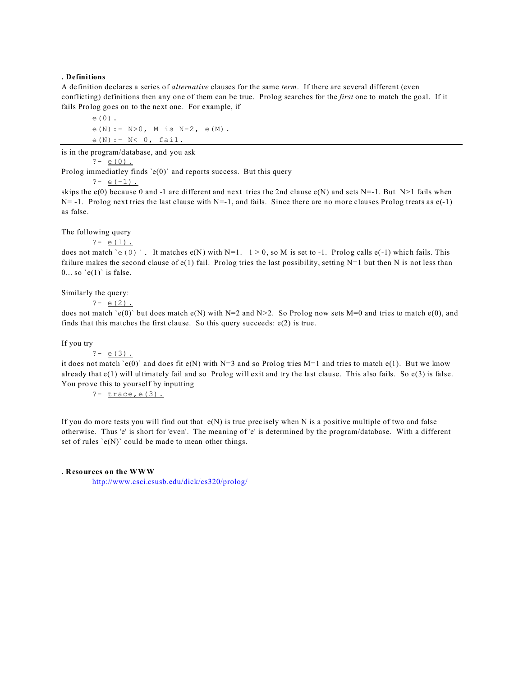## **. Definitions**

A definition declares a series of *alternative* clauses for the same *term*. If there are several different (even conflicting) definitions then any one of them can be true. Prolog searches for the *first* one to match the goal. If it fails Prolog goes on to the next one. For example, if

e(0). e(N): - N>0, M is N-2, e(M). e(N):- N< 0, fail.

is in the program/database, and you ask

 $? - e(0)$ .

Prolog immediatley finds  $\text{`e}(0)$ ' and reports success. But this query

 $? - e(-1)$ .

skips the  $e(0)$  because 0 and -1 are different and next tries the 2nd clause  $e(N)$  and sets N=-1. But N>1 fails when  $N=$  -1. Prolog next tries the last clause with  $N=-1$ , and fails. Since there are no more clauses Prolog treats as  $e(-1)$ as false.

The following query

?-  $e(1)$ .

does not match 'e(0) `. It matches e(N) with N=1.  $1 > 0$ , so M is set to -1. Prolog calls e(-1) which fails. This failure makes the second clause of  $e(1)$  fail. Prolog tries the last possibility, setting N=1 but then N is not less than  $0...$  so  $'e(1)$  is false.

Similarly the query:

?-  $e(2)$ .

does not match `e(0)` but does match e(N) with N=2 and N>2. So Prolog now sets M=0 and tries to match e(0), and finds that this matches the first clause. So this query succeeds: e(2) is true.

If you try

$$
? - e(3)
$$
.

it does not match 'e(0)' and does fit  $e(N)$  with N=3 and so Prolog tries M=1 and tries to match  $e(1)$ . But we know already that  $e(1)$  will ultimately fail and so Prolog will exit and try the last clause. This also fails. So  $e(3)$  is false. You prove this to yourself by inputting

?- trace,e(3)**.**

If you do more tests you will find out that  $e(N)$  is true precisely when N is a positive multiple of two and false otherwise. Thus 'e' is short for 'even'. The meaning of 'e' is determined by the program/database. With a different set of rules  $\text{`e(N)}$ ' could be made to mean other things.

#### **. Resources on the WWW**

[http://www.csci.csusb.edu/dick/cs320/prolog/](http://www.csci.csusb.edu/cs320/prolog/)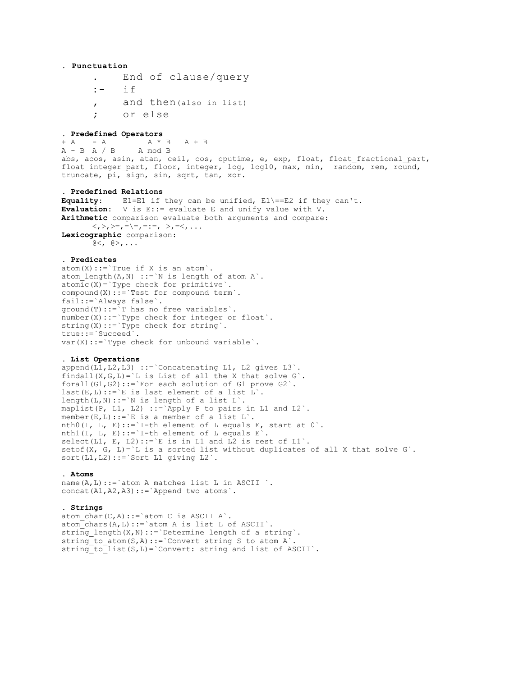## **. Punctuation**

- **.** End of clause/query
- **:-** if
- **,** and then(also in list)
- **;** or else

#### **. Predefined Operators**

 $+$  A  $-$  A  $+$  B A  $+$  B  $A - B A / B$  A mod B abs, acos, asin, atan, ceil, cos, cputime, e, exp, float, float\_fractional\_part, float\_integer\_part, floor, integer, log, log10, max, min, random, rem, round, truncate, pi, sign, sin, sqrt, tan, xor.

## **. Predefined Relations**

**Equality**: E1=E1 if they can be unified, E1\==E2 if they can't. **Evaluation:** V is E::= evaluate E and unify value with V. **Arithmetic** comparison evaluate both arguments and compare:  $\langle \langle , \rangle_1 \rangle = \langle , = \rangle = \langle , = \rangle = \langle , \rangle_1 = \langle , \rangle_1 = \langle , \rangle_2$ **Lexicographic** comparison:  $@<sub>1</sub> @>$ , ...

#### **. Predicates**

 $atom(X):='True if X is an atom'.$ atom length $(A, N)$  ::=`N is length of atom A`.  $\overline{\text{atomic}}(X)$ ='Type check for primitive'. compound(X)::=`Test for compound term`. fail::=`Always false`.  $ground(T)$ ::  $\bar{y}$  has no free variables  $\bar{y}$ . number(X)::= `Type check for integer or float`. string(X)::= `Type check for string`. true::=`Succeed`.  $var(X)$ ::=`Type check for unbound variable`.

#### **. List Operations**

append(L1, L2, L3) ::= `Concatenating L1, L2 gives L3`. findall(X,G,L)= $\iota$ L is List of all the X that solve G $\iota$ . forall(G1,G2)::=`For each solution of G1 prove G2`.  $last(E,L)::=\E E$  is last element of a list L'. length(L,N)::=`N is length of a list  $L$ `. maplist(P, L1, L2) ::= Apply P to pairs in L1 and L2 $\cdot$ . member(E, L)::= `E is a member of a list L`. nth0(I, L, E)::= `I-th element of L equals E, start at  $0$  `. nth1(I, L, E)::= `I-th element of L equals  $E$  . select(L1, E, L2)::= `E is in L1 and L2 is rest of L1`. setof(X, G, L)= $\iota$  is a sorted list without duplicates of all X that solve G $\iota$ . sort(L1,L2)::=`Sort L1 giving L2`.

#### **. Atoms**

name $(A, L)$ ::=`atom A matches list L in ASCII `. concat(A1,A2,A3)::=`Append two atoms`.

## **. Strings**

atom char(C,A)::=`atom C is ASCII A`. atom  $chars(A,L)::=\text{atom A}$  is list L of ASCII $\cdot$ . string\_length(X,N)::=`Determine length of a string`. string to atom(S,A)::=`Convert string S to atom A`. string\_to\_list(S,L)=`Convert: string and list of ASCII`.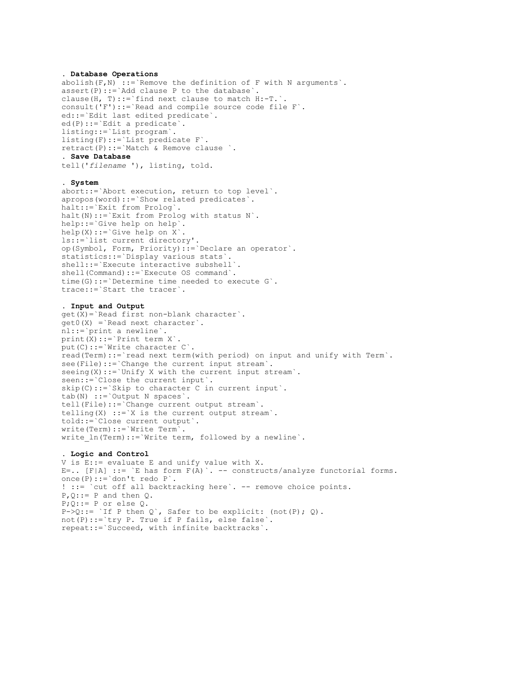#### **. Database Operations**

 $abolids(h(F,N) ::= `Remove the definition of F with N arguments`$ . assert(P)::=`Add clause P to the database`. clause(H, T)::=`find next clause to match H:-T.`. consult('F')::=`Read and compile source code file F`. ed::=`Edit last edited predicate`. ed(P)::=`Edit a predicate`. listing::=`List program`. listing(F)::=`List predicate F`. retract(P)::=`Match & Remove clause `. **. Save Database** tell('*filename* '), listing, told.

#### **. System**

abort::=`Abort execution, return to top level`. apropos(word)::=`Show related predicates`. halt::=`Exit from Prolog`. halt(N)::= `Exit from Prolog with status N`. help::=`Give help on help`.  $help(X):='Give help on X'.$ ls::=`list current directory'. op(Symbol, Form, Priority)::=`Declare an operator`. statistics::=`Display various stats`. shell::=`Execute interactive subshell`. shell(Command)::=`Execute OS command`. time(G)::=`Determine time needed to execute G`. trace::=`Start the tracer`.

#### **. Input and Output**

get(X)=`Read first non-blank character`. get0(X) =`Read next character`. nl::=`print a newline`. print(X)::=`Print term X`. put(C)::=`Write character C`. read(Term)::=`read next term(with period) on input and unify with Term`. see(File)::=`Change the current input stream`. seeing(X)::= `Unify X with the current input stream`. seen::=`Close the current input`. skip(C)::=`Skip to character C in current input`. tab(N) ::=`Output N spaces`. tell(File)::=`Change current output stream`. telling(X) ::= `X is the current output stream`. told::=`Close current output`. write(Term)::=`Write Term`. write ln(Term)::=`Write term, followed by a newline`.

#### **. Logic and Control**

V is E::= evaluate E and unify value with X. E=..  $[F|A]$  ::= `E has form  $F(A)$  `. -- constructs/analyze functorial forms. once(P)::=`don't redo P`. ! ::= `cut off all backtracking here`. -- remove choice points.  $P$ ,  $Q$ : := P and then Q.  $P$ ; $Q$ ::= P or else Q.  $P\rightarrow Q$ ::= `If P then Q`, Safer to be explicit: (not(P); Q). not(P)::=`try P. True if P fails, else false`. repeat::=`Succeed, with infinite backtracks`.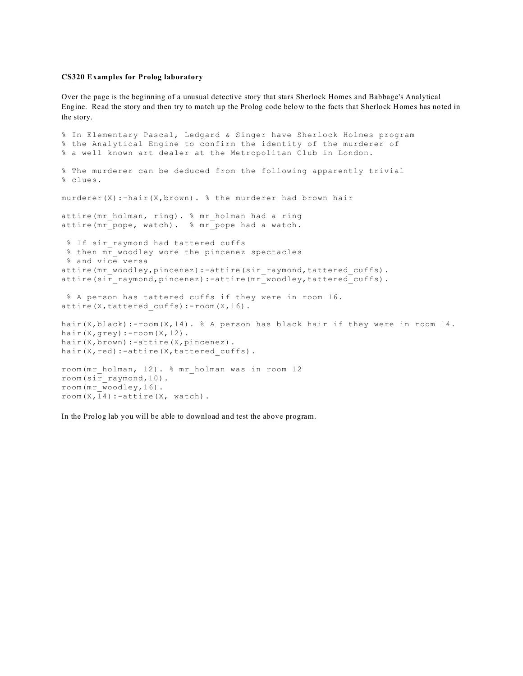#### **CS320 Examples for Prolog laboratory**

Over the page is the beginning of a unusual detective story that stars Sherlock Homes and Babbage's Analytical Engine. Read the story and then try to match up the Prolog code below to the facts that Sherlock Homes has noted in the story.

```
% In Elementary Pascal, Ledgard & Singer have Sherlock Holmes program
% the Analytical Engine to confirm the identity of the murderer of
% a well known art dealer at the Metropolitan Club in London.
% The murderer can be deduced from the following apparently trivial
% clues.
murderer(X):-hair(X,brown). % the murderer had brown hair
attire(mr_holman, ring). % mr_holman had a ring
attire(mr_pope, watch). % mr_pope had a watch.
% If sir raymond had tattered cuffs
 % then mr woodley wore the pincenez spectacles
  % and vice versa
attire(mr_woodley,pincenez):-attire(sir_raymond,tattered_cuffs).
attire(sir_raymond,pincenez):-attire(mr_woodley,tattered_cuffs).
 % A person has tattered cuffs if they were in room 16.
attire(X,tattered cuffs):-room(X,16).
hair(X,black):-room(X,14). % A person has black hair if they were in room 14.
hair(X, grey): - room(X, 12).
hair(X,brown):-attire(X,pincenez).
hair(X, red):-attire(X, tattered cuffs).
room(mr_holman, 12). % mr_holman was in room 12
room(sir_raymond,10).
room(mr_woodley,16).
room(X,14):-attice(X, watch).
```
In the Prolog lab you will be able to download and test the above program.